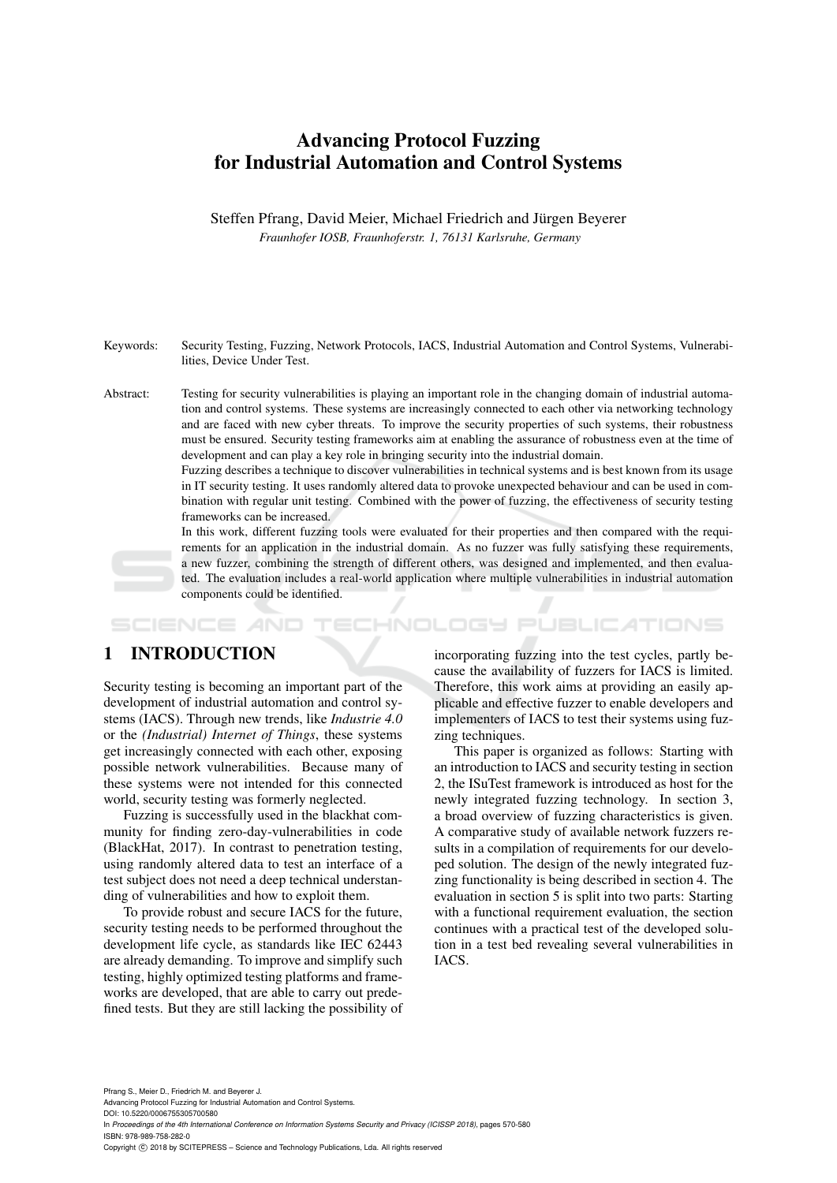# Advancing Protocol Fuzzing for Industrial Automation and Control Systems

Steffen Pfrang, David Meier, Michael Friedrich and Jürgen Beyerer *Fraunhofer IOSB, Fraunhoferstr. 1, 76131 Karlsruhe, Germany*

Keywords: Security Testing, Fuzzing, Network Protocols, IACS, Industrial Automation and Control Systems, Vulnerabilities, Device Under Test.

Abstract: Testing for security vulnerabilities is playing an important role in the changing domain of industrial automation and control systems. These systems are increasingly connected to each other via networking technology and are faced with new cyber threats. To improve the security properties of such systems, their robustness must be ensured. Security testing frameworks aim at enabling the assurance of robustness even at the time of development and can play a key role in bringing security into the industrial domain.

> Fuzzing describes a technique to discover vulnerabilities in technical systems and is best known from its usage in IT security testing. It uses randomly altered data to provoke unexpected behaviour and can be used in combination with regular unit testing. Combined with the power of fuzzing, the effectiveness of security testing frameworks can be increased.

> In this work, different fuzzing tools were evaluated for their properties and then compared with the requirements for an application in the industrial domain. As no fuzzer was fully satisfying these requirements, a new fuzzer, combining the strength of different others, was designed and implemented, and then evaluated. The evaluation includes a real-world application where multiple vulnerabilities in industrial automation components could be identified.

**ECHNOLOGY PUBLICATIONS** SCIENCE

# 1 INTRODUCTION

Security testing is becoming an important part of the development of industrial automation and control systems (IACS). Through new trends, like *Industrie 4.0* or the *(Industrial) Internet of Things*, these systems get increasingly connected with each other, exposing possible network vulnerabilities. Because many of these systems were not intended for this connected world, security testing was formerly neglected.

Fuzzing is successfully used in the blackhat community for finding zero-day-vulnerabilities in code (BlackHat, 2017). In contrast to penetration testing, using randomly altered data to test an interface of a test subject does not need a deep technical understanding of vulnerabilities and how to exploit them.

To provide robust and secure IACS for the future, security testing needs to be performed throughout the development life cycle, as standards like IEC 62443 are already demanding. To improve and simplify such testing, highly optimized testing platforms and frameworks are developed, that are able to carry out predefined tests. But they are still lacking the possibility of incorporating fuzzing into the test cycles, partly because the availability of fuzzers for IACS is limited. Therefore, this work aims at providing an easily applicable and effective fuzzer to enable developers and implementers of IACS to test their systems using fuzzing techniques.

This paper is organized as follows: Starting with an introduction to IACS and security testing in section 2, the ISuTest framework is introduced as host for the newly integrated fuzzing technology. In section 3, a broad overview of fuzzing characteristics is given. A comparative study of available network fuzzers results in a compilation of requirements for our developed solution. The design of the newly integrated fuzzing functionality is being described in section 4. The evaluation in section 5 is split into two parts: Starting with a functional requirement evaluation, the section continues with a practical test of the developed solution in a test bed revealing several vulnerabilities in IACS.

Pfrang S., Meier D., Friedrich M. and Beyerer J. Advancing Protocol Fuzzing for Industrial Automation and Control Systems. DOI: 10.5220/0006755305700580 In *Proceedings of the 4th International Conference on Information Systems Security and Privacy (ICISSP 2018)*, pages 570-580 ISBN: 978-989-758-282-0 Copyright © 2018 by SCITEPRESS - Science and Technology Publications, Lda. All rights reserved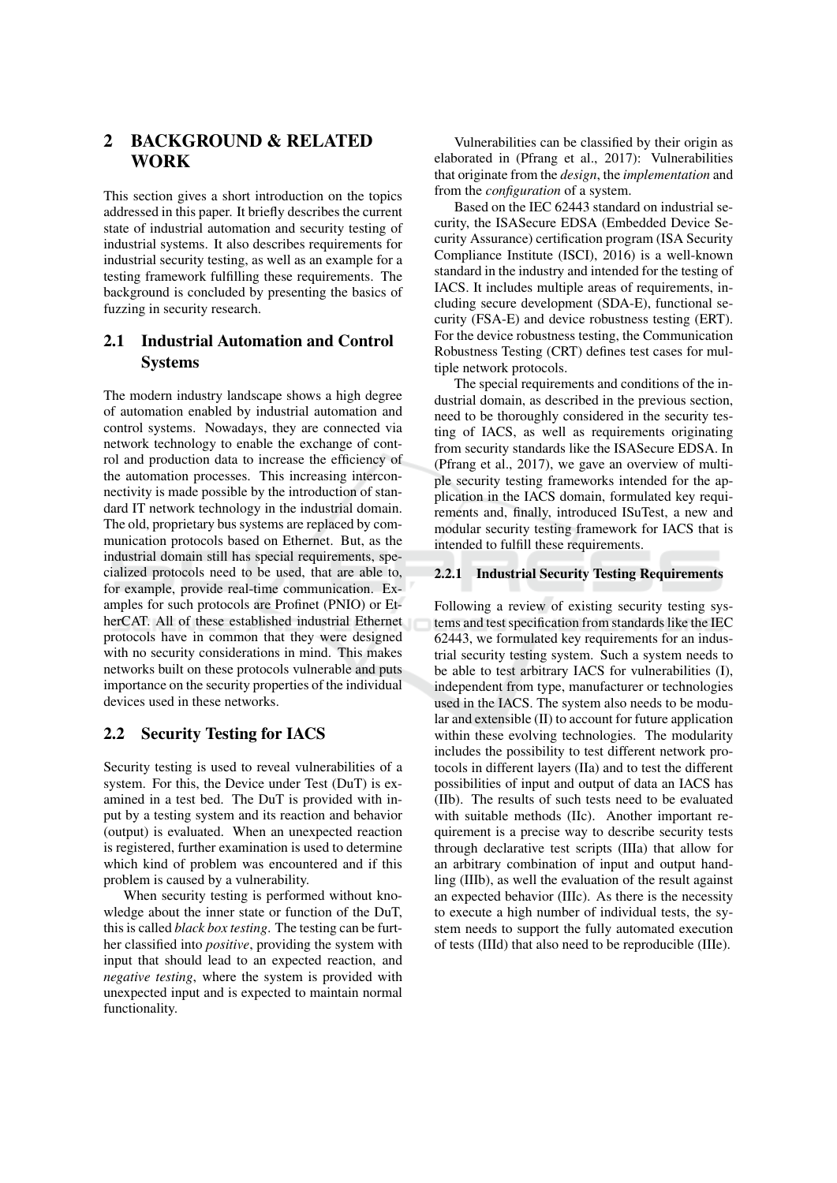### $\overline{2}$ **BACKGROUND & RELATED WORK**

This section gives a short introduction on the topics addressed in this paper. It briefly describes the current state of industrial automation and security testing of industrial systems. It also describes requirements for industrial security testing, as well as an example for a testing framework fulfilling these requirements. The background is concluded by presenting the basics of fuzzing in security research.

#### $2.1$ **Industrial Automation and Control Systems**

The modern industry landscape shows a high degree of automation enabled by industrial automation and control systems. Nowadays, they are connected via network technology to enable the exchange of control and production data to increase the efficiency of the automation processes. This increasing interconnectivity is made possible by the introduction of standard IT network technology in the industrial domain. The old, proprietary bus systems are replaced by communication protocols based on Ethernet. But, as the industrial domain still has special requirements, specialized protocols need to be used, that are able to, for example, provide real-time communication. Examples for such protocols are Profinet (PNIO) or EtherCAT. All of these established industrial Ethernet protocols have in common that they were designed with no security considerations in mind. This makes networks built on these protocols vulnerable and puts importance on the security properties of the individual devices used in these networks.

#### **Security Testing for IACS**  $2.2$

Security testing is used to reveal vulnerabilities of a system. For this, the Device under Test (DuT) is examined in a test bed. The DuT is provided with input by a testing system and its reaction and behavior (output) is evaluated. When an unexpected reaction is registered, further examination is used to determine which kind of problem was encountered and if this problem is caused by a vulnerability.

When security testing is performed without knowledge about the inner state or function of the DuT, this is called *black box testing*. The testing can be further classified into *positive*, providing the system with input that should lead to an expected reaction, and negative testing, where the system is provided with unexpected input and is expected to maintain normal functionality.

Vulnerabilities can be classified by their origin as elaborated in (Pfrang et al., 2017): Vulnerabilities that originate from the *design*, the *implementation* and from the *configuration* of a system.

Based on the IEC 62443 standard on industrial security, the ISASecure EDSA (Embedded Device Security Assurance) certification program (ISA Security Compliance Institute (ISCI), 2016) is a well-known standard in the industry and intended for the testing of IACS. It includes multiple areas of requirements, including secure development (SDA-E), functional security (FSA-E) and device robustness testing (ERT). For the device robustness testing, the Communication Robustness Testing (CRT) defines test cases for multiple network protocols.

The special requirements and conditions of the industrial domain, as described in the previous section, need to be thoroughly considered in the security testing of IACS, as well as requirements originating from security standards like the ISASecure EDSA. In (Pfrang et al., 2017), we gave an overview of multiple security testing frameworks intended for the application in the IACS domain, formulated key requirements and, finally, introduced ISuTest, a new and modular security testing framework for IACS that is intended to fulfill these requirements.

### 2.2.1 Industrial Security Testing Requirements

Following a review of existing security testing systems and test specification from standards like the IEC 62443, we formulated key requirements for an industrial security testing system. Such a system needs to be able to test arbitrary IACS for vulnerabilities (I), independent from type, manufacturer or technologies used in the IACS. The system also needs to be modu $lar$  and extensible  $(II)$  to account for future application within these evolving technologies. The modularity includes the possibility to test different network protocols in different layers (IIa) and to test the different possibilities of input and output of data an IACS has (IIb). The results of such tests need to be evaluated with suitable methods (IIc). Another important requirement is a precise way to describe security tests through declarative test scripts (IIIa) that allow for an arbitrary combination of input and output handling (IIIb), as well the evaluation of the result against an expected behavior (IIIc). As there is the necessity to execute a high number of individual tests, the system needs to support the fully automated execution of tests (IIId) that also need to be reproducible (IIIe).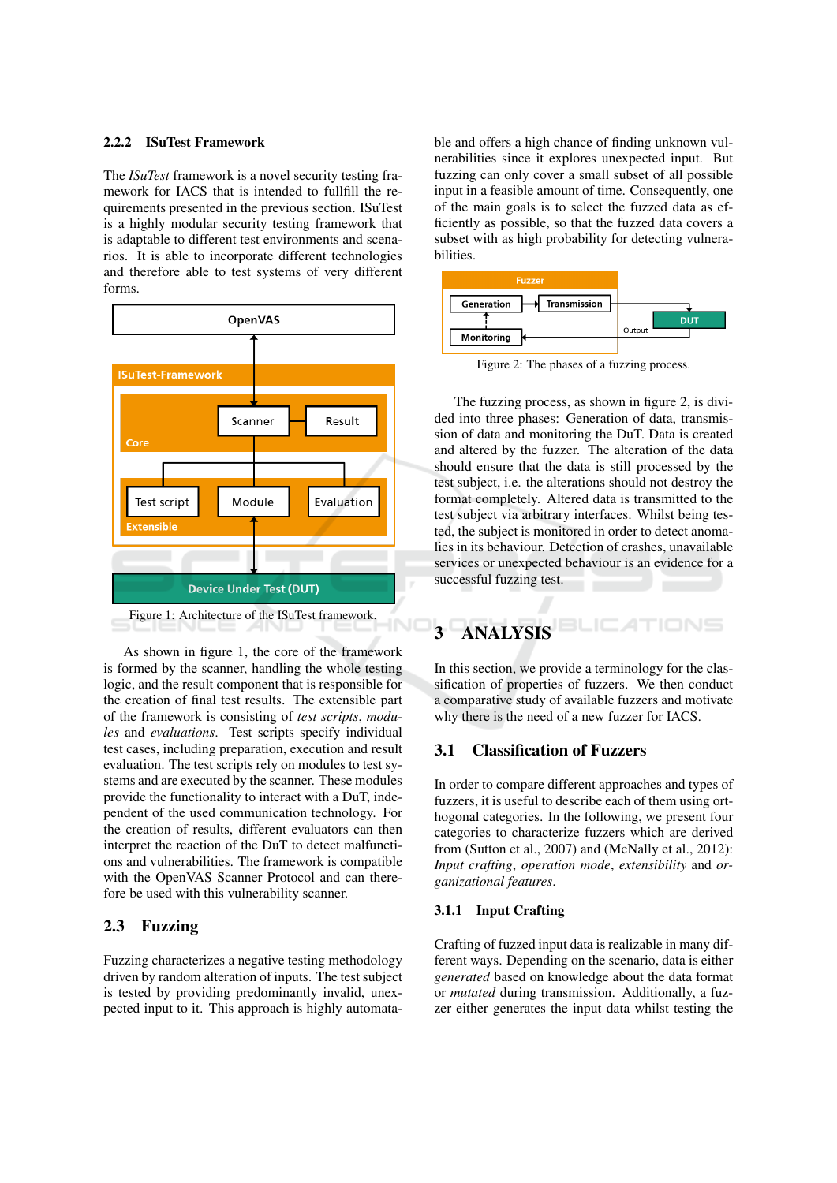### 2.2.2 ISuTest Framework

The ISuTest framework is a novel security testing framework for IACS that is intended to fullfill the requirements presented in the previous section. ISuTest is a highly modular security testing framework that is adaptable to different test environments and scenarios. It is able to incorporate different technologies and therefore able to test systems of very different forms.



As shown in figure 1, the core of the framework is formed by the scanner, handling the whole testing logic, and the result component that is responsible for the creation of final test results. The extensible part of the framework is consisting of *test scripts*, *modu*les and evaluations. Test scripts specify individual test cases, including preparation, execution and result evaluation. The test scripts rely on modules to test systems and are executed by the scanner. These modules provide the functionality to interact with a DuT, independent of the used communication technology. For the creation of results, different evaluators can then interpret the reaction of the DuT to detect malfunctions and vulnerabilities. The framework is compatible with the OpenVAS Scanner Protocol and can therefore be used with this vulnerability scanner.

#### **Fuzzing**  $2.3$

Fuzzing characterizes a negative testing methodology driven by random alteration of inputs. The test subject is tested by providing predominantly invalid, unexpected input to it. This approach is highly automatable and offers a high chance of finding unknown vulnerabilities since it explores unexpected input. But fuzzing can only cover a small subset of all possible input in a feasible amount of time. Consequently, one of the main goals is to select the fuzzed data as efficiently as possible, so that the fuzzed data covers a subset with as high probability for detecting vulnerabilities.



Figure 2: The phases of a fuzzing process.

The fuzzing process, as shown in figure 2, is divided into three phases: Generation of data, transmission of data and monitoring the DuT. Data is created and altered by the fuzzer. The alteration of the data should ensure that the data is still processed by the test subject, i.e. the alterations should not destroy the format completely. Altered data is transmitted to the test subject via arbitrary interfaces. Whilst being tested, the subject is monitored in order to detect anomalies in its behaviour. Detection of crashes, unavailable services or unexpected behaviour is an evidence for a successful fuzzing test.



In this section, we provide a terminology for the classification of properties of fuzzers. We then conduct a comparative study of available fuzzers and motivate why there is the need of a new fuzzer for IACS.

#### **Classification of Fuzzers**  $3.1$

In order to compare different approaches and types of fuzzers, it is useful to describe each of them using orthogonal categories. In the following, we present four categories to characterize fuzzers which are derived from (Sutton et al., 2007) and (McNally et al., 2012): Input crafting, operation mode, extensibility and organizational features.

### 3.1.1 Input Crafting

Crafting of fuzzed input data is realizable in many different ways. Depending on the scenario, data is either generated based on knowledge about the data format or *mutated* during transmission. Additionally, a fuzzer either generates the input data whilst testing the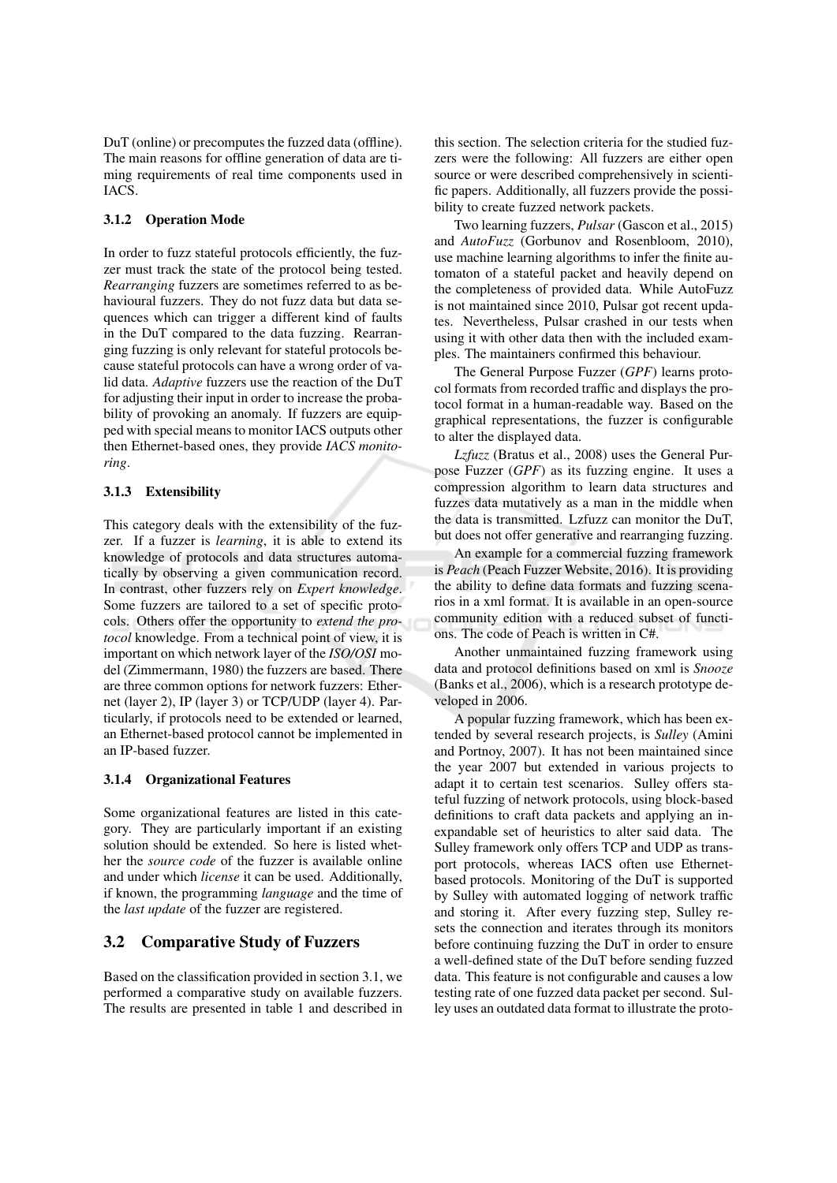DuT (online) or precomputes the fuzzed data (offline). The main reasons for offline generation of data are timing requirements of real time components used in IACS.

### 3.1.2 Operation Mode

In order to fuzz stateful protocols efficiently, the fuzzer must track the state of the protocol being tested. Rearranging fuzzers are sometimes referred to as behavioural fuzzers. They do not fuzz data but data sequences which can trigger a different kind of faults in the DuT compared to the data fuzzing. Rearranging fuzzing is only relevant for stateful protocols because stateful protocols can have a wrong order of valid data. Adaptive fuzzers use the reaction of the DuT for adjusting their input in order to increase the probability of provoking an anomaly. If fuzzers are equipped with special means to monitor IACS outputs other then Ethernet-based ones, they provide IACS monitoring.

### 3.1.3 Extensibility

This category deals with the extensibility of the fuzzer. If a fuzzer is learning, it is able to extend its knowledge of protocols and data structures automatically by observing a given communication record. In contrast, other fuzzers rely on Expert knowledge. Some fuzzers are tailored to a set of specific protocols. Others offer the opportunity to extend the protocol knowledge. From a technical point of view, it is important on which network layer of the ISO/OSI model (Zimmermann, 1980) the fuzzers are based. There are three common options for network fuzzers: Ethernet (layer 2), IP (layer 3) or TCP/UDP (layer 4). Particularly, if protocols need to be extended or learned, an Ethernet-based protocol cannot be implemented in an IP-based fuzzer.

### 3.1.4 Organizational Features

Some organizational features are listed in this category. They are particularly important if an existing solution should be extended. So here is listed whether the *source code* of the fuzzer is available online and under which *license* it can be used. Additionally, if known, the programming *language* and the time of the *last update* of the fuzzer are registered.

#### $3.2$ **Comparative Study of Fuzzers**

Based on the classification provided in section 3.1, we performed a comparative study on available fuzzers. The results are presented in table 1 and described in this section. The selection criteria for the studied fuzzers were the following: All fuzzers are either open source or were described comprehensively in scientific papers. Additionally, all fuzzers provide the possibility to create fuzzed network packets.

Two learning fuzzers, *Pulsar* (Gascon et al., 2015) and *AutoFuzz* (Gorbunov and Rosenbloom, 2010). use machine learning algorithms to infer the finite automaton of a stateful packet and heavily depend on the completeness of provided data. While AutoFuzz is not maintained since 2010, Pulsar got recent updates. Nevertheless, Pulsar crashed in our tests when using it with other data then with the included examples. The maintainers confirmed this behaviour.

The General Purpose Fuzzer (GPF) learns protocol formats from recorded traffic and displays the protocol format in a human-readable way. Based on the graphical representations, the fuzzer is configurable to alter the displayed data.

Lzfuzz (Bratus et al., 2008) uses the General Purpose Fuzzer (GPF) as its fuzzing engine. It uses a compression algorithm to learn data structures and fuzzes data mutatively as a man in the middle when the data is transmitted. Lzfuzz can monitor the DuT, but does not offer generative and rearranging fuzzing.

An example for a commercial fuzzing framework is Peach (Peach Fuzzer Website, 2016). It is providing the ability to define data formats and fuzzing scenarios in a xml format. It is available in an open-source community edition with a reduced subset of functions. The code of Peach is written in C#.

Another unmaintained fuzzing framework using data and protocol definitions based on xml is Snooze (Banks et al., 2006), which is a research prototype developed in 2006.

A popular fuzzing framework, which has been extended by several research projects, is Sulley (Amini and Portnoy, 2007). It has not been maintained since the year 2007 but extended in various projects to adapt it to certain test scenarios. Sulley offers stateful fuzzing of network protocols, using block-based definitions to craft data packets and applying an inexpandable set of heuristics to alter said data. The Sulley framework only offers TCP and UDP as transport protocols, whereas IACS often use Ethernetbased protocols. Monitoring of the DuT is supported by Sulley with automated logging of network traffic and storing it. After every fuzzing step, Sulley resets the connection and iterates through its monitors before continuing fuzzing the DuT in order to ensure a well-defined state of the DuT before sending fuzzed data. This feature is not configurable and causes a low testing rate of one fuzzed data packet per second. Sulley uses an outdated data format to illustrate the proto-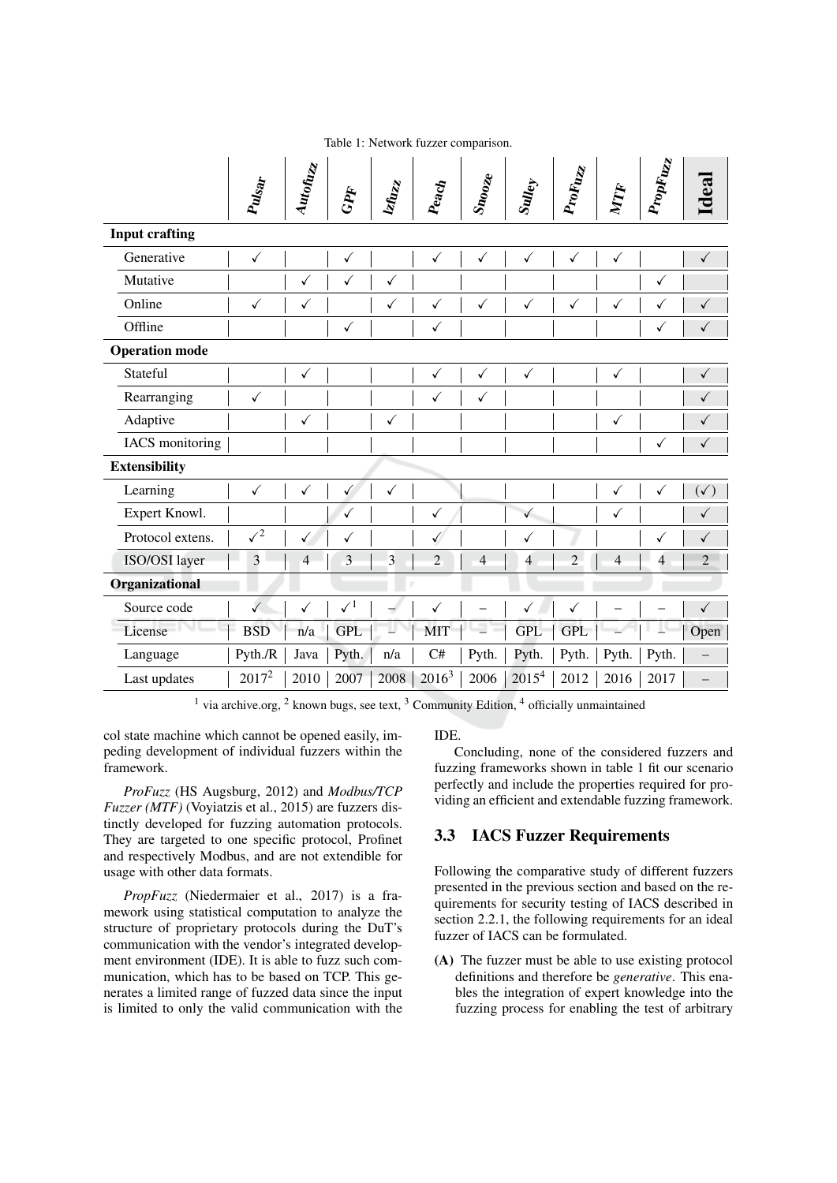|                       | Pulsar       | Autofuzz       | GPF          | <b>Istuzz</b> | $P_{eqcl}$     | $S_{\bm n_{\bm O_{\bm O_{\bm Z}}\bm e}}$ | $\delta$ uley     | ProFuzz        | NTF            | PropFuzz       | Ideal          |
|-----------------------|--------------|----------------|--------------|---------------|----------------|------------------------------------------|-------------------|----------------|----------------|----------------|----------------|
| <b>Input crafting</b> |              |                |              |               |                |                                          |                   |                |                |                |                |
| Generative            | $\checkmark$ |                | $\checkmark$ |               | $\checkmark$   | $\checkmark$                             | $\checkmark$      | $\checkmark$   | $\checkmark$   |                | $\checkmark$   |
| Mutative              |              | ✓              | ✓            | $\checkmark$  |                |                                          |                   |                |                | $\checkmark$   |                |
| Online                | $\checkmark$ | ✓              |              | $\checkmark$  | $\checkmark$   | $\checkmark$                             | $\checkmark$      | $\checkmark$   | $\checkmark$   | $\checkmark$   | $\checkmark$   |
| Offline               |              |                | $\checkmark$ |               | $\checkmark$   |                                          |                   |                |                | $\checkmark$   | $\checkmark$   |
| <b>Operation mode</b> |              |                |              |               |                |                                          |                   |                |                |                |                |
| Stateful              |              | ✓              |              |               | $\checkmark$   | $\checkmark$                             | $\checkmark$      |                | $\checkmark$   |                | $\checkmark$   |
| Rearranging           | $\checkmark$ |                |              |               | $\checkmark$   | $\checkmark$                             |                   |                |                |                | $\checkmark$   |
| Adaptive              |              | $\checkmark$   |              | $\checkmark$  |                |                                          |                   |                | $\checkmark$   |                | ✓              |
| IACS monitoring       |              |                |              |               |                |                                          |                   |                |                | $\checkmark$   | $\checkmark$   |
| <b>Extensibility</b>  |              |                |              |               |                |                                          |                   |                |                |                |                |
| Learning              | $\checkmark$ | $\checkmark$   | $\checkmark$ | $\checkmark$  |                |                                          |                   |                | $\checkmark$   | $\checkmark$   | $(\checkmark)$ |
| Expert Knowl.         |              |                | $\checkmark$ |               | $\checkmark$   |                                          | $\checkmark$      |                | $\checkmark$   |                | $\checkmark$   |
| Protocol extens.      | $\sqrt{2}$   | ✓              | ✓            |               | $\checkmark$   |                                          | ✓                 |                |                | ✓              | $\checkmark$   |
| ISO/OSI layer         | 3            | $\overline{4}$ | 3            | 3             | $\overline{2}$ | $\overline{4}$                           | $\overline{4}$    | $\overline{c}$ | $\overline{4}$ | $\overline{4}$ | $\overline{2}$ |
| Organizational        |              |                |              |               |                |                                          |                   |                |                |                |                |
| Source code           | $\checkmark$ | $\checkmark$   | $\surd\,1$   | ÷             | $\checkmark$   |                                          | ✓                 | ✓              |                |                | $\checkmark$   |
| License               | <b>BSD</b>   | n/a            | <b>GPL</b>   |               | <b>MIT</b>     | $\overline{\phantom{a}}$                 | <b>GPL</b>        | <b>GPL</b>     |                |                | Open           |
| Language              | Pyth./R      | Java           | Pyth.        | n/a           | C#             | Pyth.                                    | Pyth.             | Pyth.          | Pyth.          | Pyth.          |                |
| Last updates          | $2017^2$     | 2010           | 2007         | 2008          | $2016^3$       | 2006                                     | 2015 <sup>4</sup> | 2012           | 2016           | 2017           |                |

Table 1: Network fuzzer comparison.

<sup>1</sup> via archive.org, <sup>2</sup> known bugs, see text, <sup>3</sup> Community Edition, <sup>4</sup> officially unmaintained

col state machine which cannot be opened easily, impeding development of individual fuzzers within the framework.

ProFuzz (HS Augsburg, 2012) and Modbus/TCP Fuzzer (MTF) (Voyiatzis et al., 2015) are fuzzers distinctly developed for fuzzing automation protocols. They are targeted to one specific protocol, Profinet and respectively Modbus, and are not extendible for usage with other data formats.

PropFuzz (Niedermaier et al., 2017) is a framework using statistical computation to analyze the structure of proprietary protocols during the DuT's communication with the vendor's integrated development environment (IDE). It is able to fuzz such communication, which has to be based on TCP. This generates a limited range of fuzzed data since the input is limited to only the valid communication with the **IDE** 

Concluding, none of the considered fuzzers and fuzzing frameworks shown in table 1 fit our scenario perfectly and include the properties required for providing an efficient and extendable fuzzing framework.

## **3.3 IACS Fuzzer Requirements**

Following the comparative study of different fuzzers presented in the previous section and based on the requirements for security testing of IACS described in section 2.2.1, the following requirements for an ideal fuzzer of IACS can be formulated.

(A) The fuzzer must be able to use existing protocol definitions and therefore be *generative*. This enables the integration of expert knowledge into the fuzzing process for enabling the test of arbitrary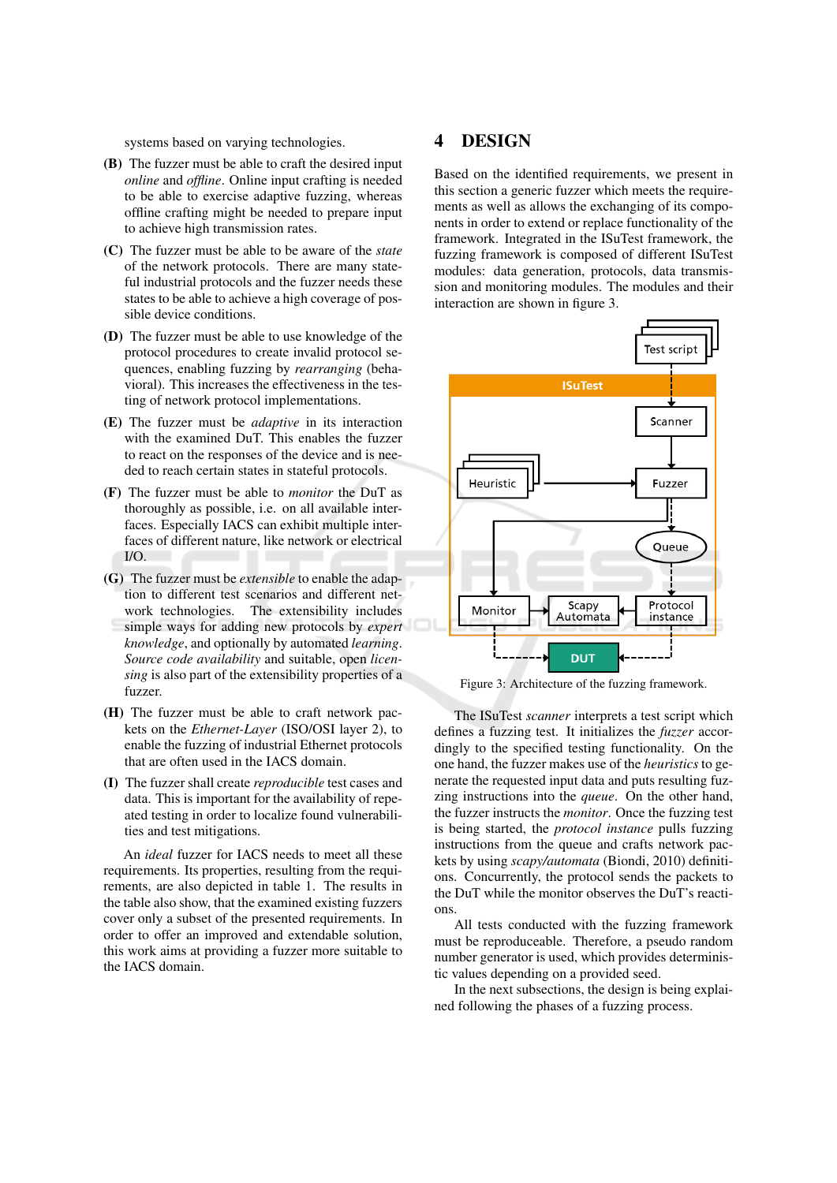systems based on varying technologies.

- (B) The fuzzer must be able to craft the desired input online and offline. Online input crafting is needed to be able to exercise adaptive fuzzing, whereas offline crafting might be needed to prepare input to achieve high transmission rates.
- (C) The fuzzer must be able to be aware of the state of the network protocols. There are many stateful industrial protocols and the fuzzer needs these states to be able to achieve a high coverage of possible device conditions.
- (D) The fuzzer must be able to use knowledge of the protocol procedures to create invalid protocol sequences, enabling fuzzing by rearranging (behavioral). This increases the effectiveness in the testing of network protocol implementations.
- (E) The fuzzer must be *adaptive* in its interaction with the examined DuT. This enables the fuzzer to react on the responses of the device and is needed to reach certain states in stateful protocols.
- (F) The fuzzer must be able to *monitor* the DuT as thoroughly as possible, i.e. on all available interfaces. Especially IACS can exhibit multiple interfaces of different nature, like network or electrical  $I/O$ .
- (G) The fuzzer must be *extensible* to enable the adaption to different test scenarios and different network technologies. The extensibility includes simple ways for adding new protocols by expert knowledge, and optionally by automated learning. Source code availability and suitable, open licensing is also part of the extensibility properties of a fuzzer.
- (H) The fuzzer must be able to craft network packets on the *Ethernet-Layer* (ISO/OSI layer 2), to enable the fuzzing of industrial Ethernet protocols that are often used in the IACS domain.
- (I) The fuzzer shall create reproducible test cases and data. This is important for the availability of repeated testing in order to localize found vulnerabilities and test mitigations.

An *ideal* fuzzer for IACS needs to meet all these requirements. Its properties, resulting from the requirements, are also depicted in table 1. The results in the table also show, that the examined existing fuzzers cover only a subset of the presented requirements. In order to offer an improved and extendable solution. this work aims at providing a fuzzer more suitable to the IACS domain.

#### 4 **DESIGN**

Based on the identified requirements, we present in this section a generic fuzzer which meets the requirements as well as allows the exchanging of its components in order to extend or replace functionality of the framework. Integrated in the ISuTest framework, the fuzzing framework is composed of different ISuTest modules: data generation, protocols, data transmission and monitoring modules. The modules and their interaction are shown in figure 3.



Figure 3: Architecture of the fuzzing framework.

The ISuTest *scanner* interprets a test script which defines a fuzzing test. It initializes the *fuzzer* accordingly to the specified testing functionality. On the one hand, the fuzzer makes use of the *heuristics* to generate the requested input data and puts resulting fuzzing instructions into the *queue*. On the other hand, the fuzzer instructs the *monitor*. Once the fuzzing test is being started, the *protocol instance* pulls fuzzing instructions from the queue and crafts network packets by using scapy/automata (Biondi, 2010) definitions. Concurrently, the protocol sends the packets to the DuT while the monitor observes the DuT's reactions.

All tests conducted with the fuzzing framework must be reproduceable. Therefore, a pseudo random number generator is used, which provides deterministic values depending on a provided seed.

In the next subsections, the design is being explained following the phases of a fuzzing process.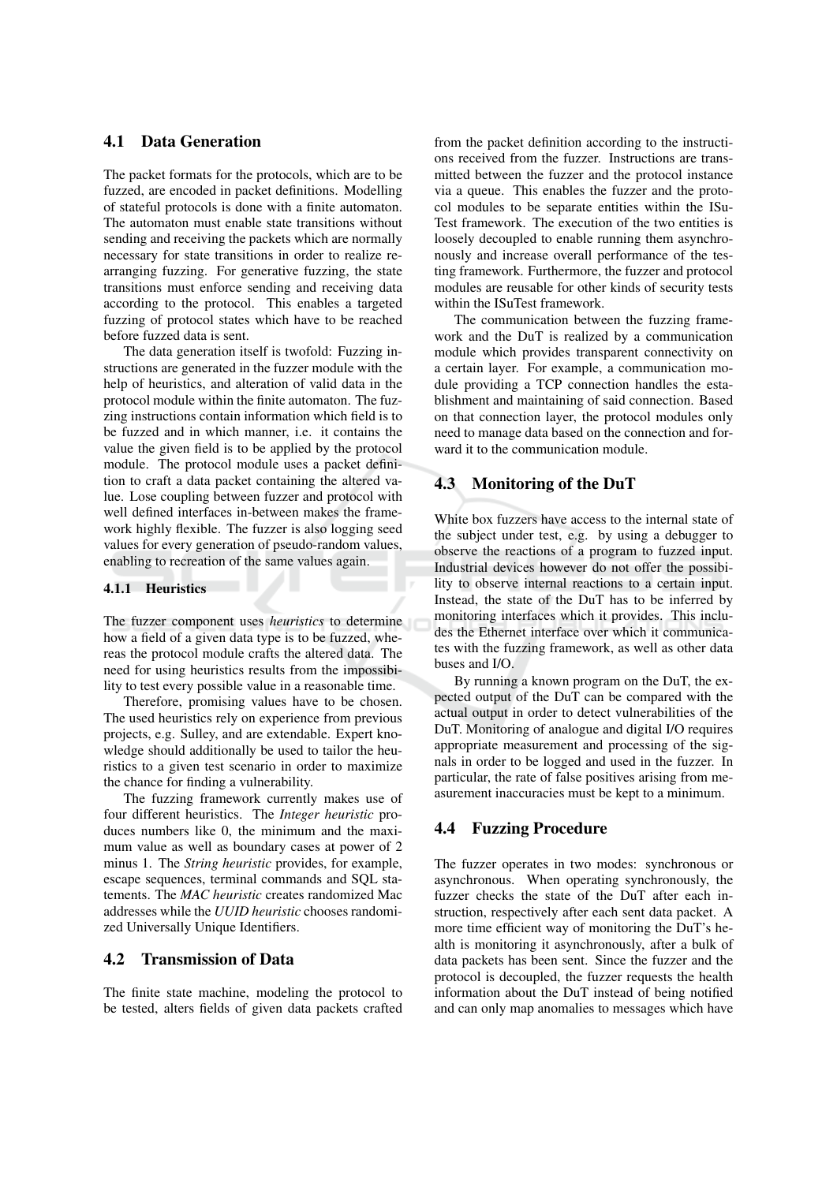## 4.1 Data Generation

The packet formats for the protocols, which are to be fuzzed, are encoded in packet definitions. Modelling of stateful protocols is done with a finite automaton. The automaton must enable state transitions without sending and receiving the packets which are normally necessary for state transitions in order to realize rearranging fuzzing. For generative fuzzing, the state transitions must enforce sending and receiving data according to the protocol. This enables a targeted fuzzing of protocol states which have to be reached before fuzzed data is sent.

The data generation itself is twofold: Fuzzing instructions are generated in the fuzzer module with the help of heuristics, and alteration of valid data in the protocol module within the finite automaton. The fuzzing instructions contain information which field is to be fuzzed and in which manner, i.e. it contains the value the given field is to be applied by the protocol module. The protocol module uses a packet definition to craft a data packet containing the altered value. Lose coupling between fuzzer and protocol with well defined interfaces in-between makes the framework highly flexible. The fuzzer is also logging seed values for every generation of pseudo-random values, enabling to recreation of the same values again.

### 4.1.1 Heuristics

The fuzzer component uses *heuristics* to determine how a field of a given data type is to be fuzzed, whereas the protocol module crafts the altered data. The need for using heuristics results from the impossibility to test every possible value in a reasonable time.

Therefore, promising values have to be chosen. The used heuristics rely on experience from previous projects, e.g. Sulley, and are extendable. Expert knowledge should additionally be used to tailor the heuristics to a given test scenario in order to maximize the chance for finding a vulnerability.

The fuzzing framework currently makes use of four different heuristics. The Integer heuristic produces numbers like 0, the minimum and the maximum value as well as boundary cases at power of 2 minus 1. The *String heuristic* provides, for example, escape sequences, terminal commands and SOL statements. The MAC heuristic creates randomized Mac addresses while the UUID heuristic chooses randomized Universally Unique Identifiers.

#### $4.2$ **Transmission of Data**

The finite state machine, modeling the protocol to be tested, alters fields of given data packets crafted

from the packet definition according to the instructions received from the fuzzer. Instructions are transmitted between the fuzzer and the protocol instance via a queue. This enables the fuzzer and the protocol modules to be separate entities within the ISu-Test framework. The execution of the two entities is loosely decoupled to enable running them asynchronously and increase overall performance of the testing framework. Furthermore, the fuzzer and protocol modules are reusable for other kinds of security tests within the ISuTest framework.

The communication between the fuzzing framework and the DuT is realized by a communication module which provides transparent connectivity on a certain layer. For example, a communication module providing a TCP connection handles the establishment and maintaining of said connection. Based on that connection layer, the protocol modules only need to manage data based on the connection and forward it to the communication module.

#### **Monitoring of the DuT** 4.3

White box fuzzers have access to the internal state of the subject under test, e.g. by using a debugger to observe the reactions of a program to fuzzed input. Industrial devices however do not offer the possibility to observe internal reactions to a certain input. Instead, the state of the DuT has to be inferred by monitoring interfaces which it provides. This includes the Ethernet interface over which it communicates with the fuzzing framework, as well as other data buses and I/O.

By running a known program on the DuT, the expected output of the DuT can be compared with the actual output in order to detect vulnerabilities of the DuT. Monitoring of analogue and digital I/O requires appropriate measurement and processing of the signals in order to be logged and used in the fuzzer. In particular, the rate of false positives arising from measurement inaccuracies must be kept to a minimum.

#### 4.4 **Fuzzing Procedure**

The fuzzer operates in two modes: synchronous or asynchronous. When operating synchronously, the fuzzer checks the state of the DuT after each instruction, respectively after each sent data packet. A more time efficient way of monitoring the DuT's health is monitoring it asynchronously, after a bulk of data packets has been sent. Since the fuzzer and the protocol is decoupled, the fuzzer requests the health information about the DuT instead of being notified and can only map anomalies to messages which have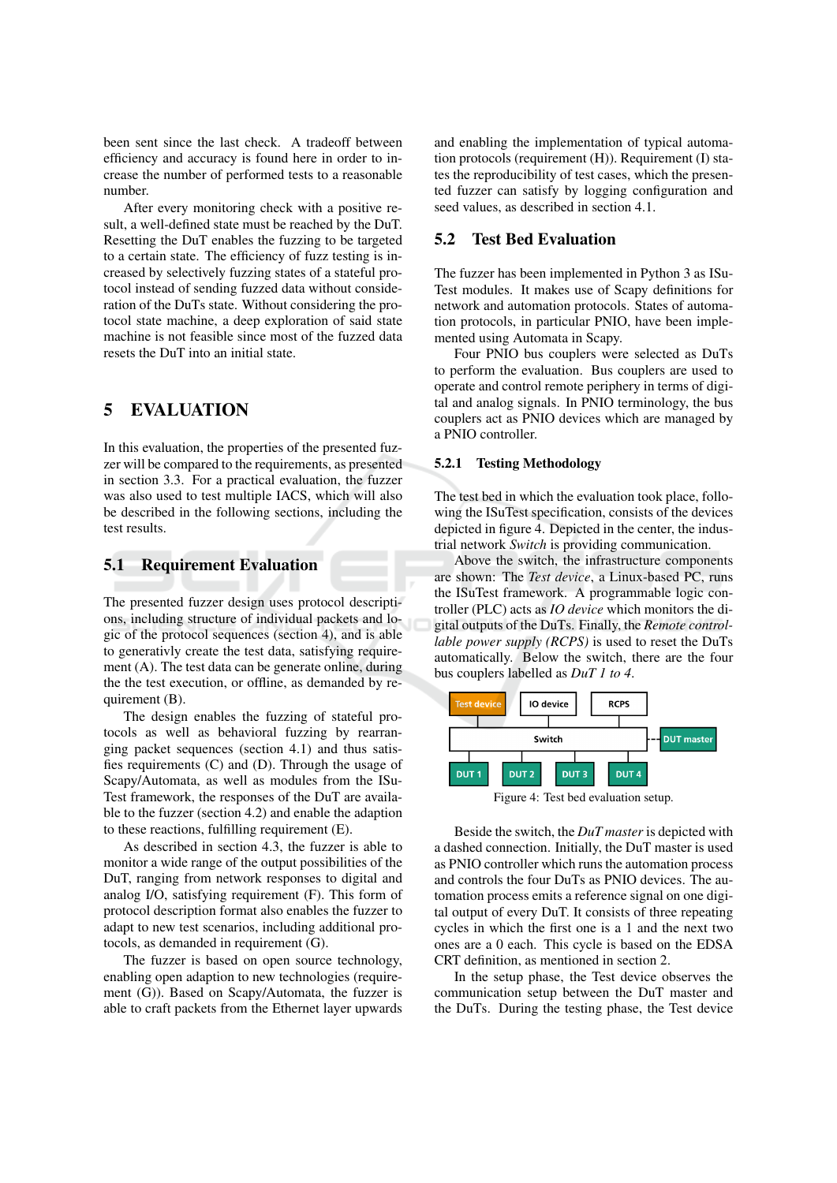been sent since the last check. A tradeoff between efficiency and accuracy is found here in order to increase the number of performed tests to a reasonable number.

After every monitoring check with a positive result, a well-defined state must be reached by the DuT. Resetting the DuT enables the fuzzing to be targeted to a certain state. The efficiency of fuzz testing is increased by selectively fuzzing states of a stateful protocol instead of sending fuzzed data without consideration of the DuTs state. Without considering the protocol state machine, a deep exploration of said state machine is not feasible since most of the fuzzed data resets the DuT into an initial state

#### 5 **EVALUATION**

In this evaluation, the properties of the presented fuzzer will be compared to the requirements, as presented in section 3.3. For a practical evaluation, the fuzzer was also used to test multiple IACS, which will also be described in the following sections, including the test results.

#### $5.1$ **Requirement Evaluation**

The presented fuzzer design uses protocol descriptions, including structure of individual packets and logic of the protocol sequences (section 4), and is able to generativly create the test data, satisfying requirement (A). The test data can be generate online, during the the test execution, or offline, as demanded by requirement (B).

The design enables the fuzzing of stateful protocols as well as behavioral fuzzing by rearranging packet sequences (section 4.1) and thus satisfies requirements  $(C)$  and  $(D)$ . Through the usage of Scapy/Automata, as well as modules from the ISu-Test framework, the responses of the DuT are available to the fuzzer (section 4.2) and enable the adaption to these reactions, fulfilling requirement (E).

As described in section 4.3, the fuzzer is able to monitor a wide range of the output possibilities of the DuT, ranging from network responses to digital and analog I/O, satisfying requirement (F). This form of protocol description format also enables the fuzzer to adapt to new test scenarios, including additional protocols, as demanded in requirement (G).

The fuzzer is based on open source technology, enabling open adaption to new technologies (requirement (G)). Based on Scapy/Automata, the fuzzer is able to craft packets from the Ethernet layer upwards and enabling the implementation of typical automation protocols (requirement (H)). Requirement (I) states the reproducibility of test cases, which the presented fuzzer can satisfy by logging configuration and seed values, as described in section 4.1.

#### $5.2$ **Test Bed Evaluation**

The fuzzer has been implemented in Python 3 as ISu-Test modules. It makes use of Scapy definitions for network and automation protocols. States of automation protocols, in particular PNIO, have been implemented using Automata in Scapy.

Four PNIO bus couplers were selected as DuTs to perform the evaluation. Bus couplers are used to operate and control remote periphery in terms of digital and analog signals. In PNIO terminology, the bus couplers act as PNIO devices which are managed by a PNIO controller.

### 5.2.1 Testing Methodology

The test bed in which the evaluation took place, following the ISuTest specification, consists of the devices depicted in figure 4. Depicted in the center, the industrial network Switch is providing communication.

Above the switch, the infrastructure components are shown: The Test device, a Linux-based PC, runs the ISuTest framework. A programmable logic controller (PLC) acts as *IO device* which monitors the digital outputs of the DuTs. Finally, the Remote controllable power supply (RCPS) is used to reset the DuTs automatically. Below the switch, there are the four bus couplers labelled as *DuT 1 to 4*.



Beside the switch, the DuT master is depicted with a dashed connection. Initially, the DuT master is used as PNIO controller which runs the automation process and controls the four DuTs as PNIO devices. The automation process emits a reference signal on one digital output of every DuT. It consists of three repeating cycles in which the first one is a 1 and the next two ones are a 0 each. This cycle is based on the EDSA CRT definition, as mentioned in section 2.

In the setup phase, the Test device observes the communication setup between the DuT master and the DuTs. During the testing phase, the Test device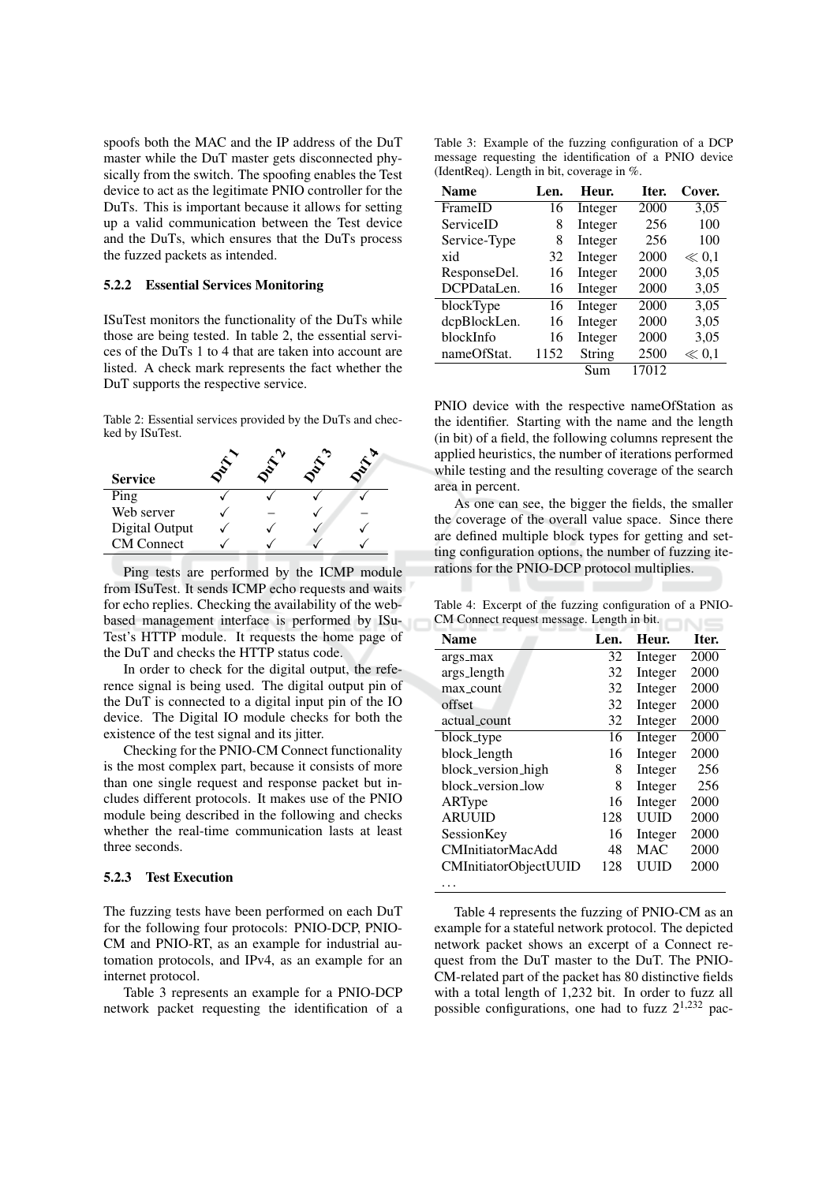spoofs both the MAC and the IP address of the DuT master while the DuT master gets disconnected physically from the switch. The spoofing enables the Test device to act as the legitimate PNIO controller for the DuTs. This is important because it allows for setting up a valid communication between the Test device and the DuTs, which ensures that the DuTs process the fuzzed packets as intended.

### **5.2.2 Essential Services Monitoring**

ISuTest monitors the functionality of the DuTs while those are being tested. In table 2, the essential services of the DuTs 1 to 4 that are taken into account are listed. A check mark represents the fact whether the DuT supports the respective service.

Table 2: Essential services provided by the DuTs and checked by ISuTest.

| <b>Service</b>    |  |  |
|-------------------|--|--|
| Ping              |  |  |
| Web server        |  |  |
| Digital Output    |  |  |
| <b>CM</b> Connect |  |  |

Ping tests are performed by the ICMP module from ISuTest. It sends ICMP echo requests and waits for echo replies. Checking the availability of the webbased management interface is performed by ISu-Test's HTTP module. It requests the home page of the DuT and checks the HTTP status code.

In order to check for the digital output, the reference signal is being used. The digital output pin of the DuT is connected to a digital input pin of the IO device. The Digital IO module checks for both the existence of the test signal and its jitter.

Checking for the PNIO-CM Connect functionality is the most complex part, because it consists of more than one single request and response packet but includes different protocols. It makes use of the PNIO module being described in the following and checks whether the real-time communication lasts at least three seconds.

### 5.2.3 Test Execution

The fuzzing tests have been performed on each DuT for the following four protocols: PNIO-DCP, PNIO-CM and PNIO-RT, as an example for industrial automation protocols, and IPv4, as an example for an internet protocol.

Table 3 represents an example for a PNIO-DCP network packet requesting the identification of a

Table 3: Example of the fuzzing configuration of a DCP message requesting the identification of a PNIO device (IdentReq). Length in bit, coverage in %.

| Name         | Len. | Heur.   | Iter. | Cover.    |
|--------------|------|---------|-------|-----------|
| FrameID      | 16   | Integer | 2000  | 3,05      |
| ServiceID    | 8    | Integer | 256   | 100       |
| Service-Type | 8    | Integer | 256   | 100       |
| xid          | 32   | Integer | 2000  | $\ll 0.1$ |
| ResponseDel. | 16   | Integer | 2000  | 3,05      |
| DCPDataLen.  | 16   | Integer | 2000  | 3,05      |
| blockType    | 16   | Integer | 2000  | 3,05      |
| dcpBlockLen. | 16   | Integer | 2000  | 3,05      |
| blockInfo    | 16   | Integer | 2000  | 3,05      |
| nameOfStat.  | 1152 | String  | 2500  | $\ll 0.1$ |
|              |      | Sum     | 17012 |           |

PNIO device with the respective nameOfStation as the identifier. Starting with the name and the length (in bit) of a field, the following columns represent the applied heuristics, the number of iterations performed while testing and the resulting coverage of the search area in percent.

As one can see, the bigger the fields, the smaller the coverage of the overall value space. Since there are defined multiple block types for getting and setting configuration options, the number of fuzzing iterations for the PNIO-DCP protocol multiplies.

Table 4: Excerpt of the fuzzing configuration of a PNIO-CM Connect request message. Length in bit.

| <b>Name</b>                  | Len. | Heur.      | Iter. |
|------------------------------|------|------------|-------|
| args_max                     | 32   | Integer    | 2000  |
| args_length                  | 32   | Integer    | 2000  |
| max_count                    | 32   | Integer    | 2000  |
| offset                       | 32   | Integer    | 2000  |
| actual count                 | 32   | Integer    | 2000  |
| block_type                   | 16   | Integer    | 2000  |
| block_length                 | 16   | Integer    | 2000  |
| block_version_high           | 8    | Integer    | 256   |
| block version low            | 8    | Integer    | 256   |
| ARType                       | 16   | Integer    | 2000  |
| <b>ARUUID</b>                | 128  | UUID       | 2000  |
| SessionKey                   | 16   | Integer    | 2000  |
| <b>CMInitiatorMacAdd</b>     | 48   | <b>MAC</b> | 2000  |
| <b>CMInitiatorObjectUUID</b> | 128  | UUID       | 2000  |
|                              |      |            |       |

Table 4 represents the fuzzing of PNIO-CM as an example for a stateful network protocol. The depicted network packet shows an excerpt of a Connect request from the DuT master to the DuT. The PNIO-CM-related part of the packet has 80 distinctive fields with a total length of 1,232 bit. In order to fuzz all possible configurations, one had to fuzz  $2^{1,232}$  pac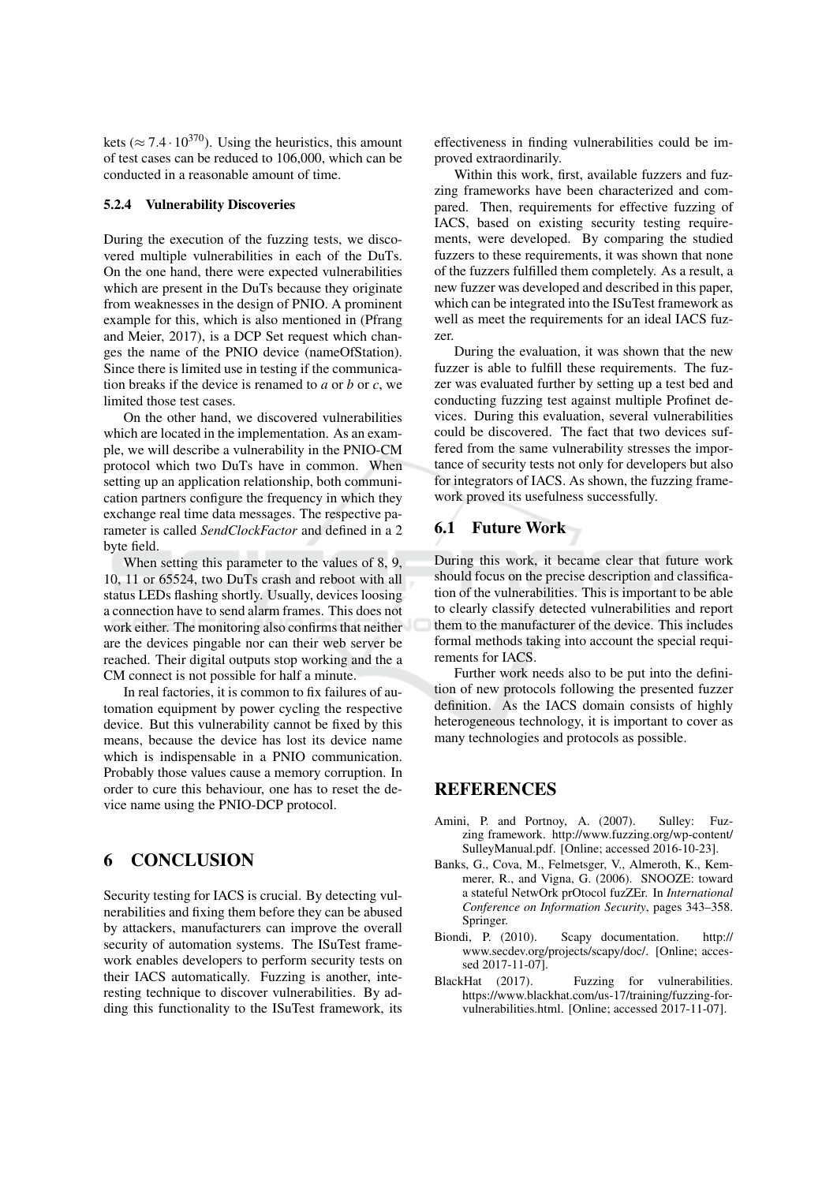kets ( $\approx$  7.4 · 10<sup>370</sup>). Using the heuristics, this amount of test cases can be reduced to 106,000, which can be conducted in a reasonable amount of time.

### 5.2.4 Vulnerability Discoveries

During the execution of the fuzzing tests, we discovered multiple vulnerabilities in each of the DuTs. On the one hand, there were expected vulnerabilities which are present in the DuTs because they originate from weaknesses in the design of PNIO. A prominent example for this, which is also mentioned in (Pfrang and Meier, 2017), is a DCP Set request which changes the name of the PNIO device (nameOfStation). Since there is limited use in testing if the communication breaks if the device is renamed to  $a$  or  $b$  or  $c$ , we limited those test cases.

On the other hand, we discovered vulnerabilities which are located in the implementation. As an example, we will describe a vulnerability in the PNIO-CM protocol which two DuTs have in common. When setting up an application relationship, both communication partners configure the frequency in which they exchange real time data messages. The respective parameter is called SendClockFactor and defined in a 2 byte field.

When setting this parameter to the values of 8, 9, 10, 11 or 65524, two DuTs crash and reboot with all status LEDs flashing shortly. Usually, devices loosing a connection have to send alarm frames. This does not work either. The monitoring also confirms that neither are the devices pingable nor can their web server be reached. Their digital outputs stop working and the a CM connect is not possible for half a minute.

In real factories, it is common to fix failures of automation equipment by power cycling the respective device. But this vulnerability cannot be fixed by this means, because the device has lost its device name which is indispensable in a PNIO communication. Probably those values cause a memory corruption. In order to cure this behaviour, one has to reset the device name using the PNIO-DCP protocol.

#### **CONCLUSION** 6

Security testing for IACS is crucial. By detecting vulnerabilities and fixing them before they can be abused by attackers, manufacturers can improve the overall security of automation systems. The ISuTest framework enables developers to perform security tests on their IACS automatically. Fuzzing is another, interesting technique to discover vulnerabilities. By adding this functionality to the ISuTest framework, its effectiveness in finding vulnerabilities could be improved extraordinarily.

Within this work, first, available fuzzers and fuzzing frameworks have been characterized and compared. Then, requirements for effective fuzzing of IACS, based on existing security testing requirements, were developed. By comparing the studied fuzzers to these requirements, it was shown that none of the fuzzers fulfilled them completely. As a result, a new fuzzer was developed and described in this paper, which can be integrated into the ISuTest framework as well as meet the requirements for an ideal IACS fuzzer

During the evaluation, it was shown that the new fuzzer is able to fulfill these requirements. The fuzzer was evaluated further by setting up a test bed and conducting fuzzing test against multiple Profinet devices. During this evaluation, several vulnerabilities could be discovered. The fact that two devices suffered from the same vulnerability stresses the importance of security tests not only for developers but also for integrators of IACS. As shown, the fuzzing framework proved its usefulness successfully.

## **6.1 Future Work**

During this work, it became clear that future work should focus on the precise description and classification of the vulnerabilities. This is important to be able to clearly classify detected vulnerabilities and report them to the manufacturer of the device. This includes formal methods taking into account the special requirements for IACS.

Further work needs also to be put into the definition of new protocols following the presented fuzzer definition. As the IACS domain consists of highly heterogeneous technology, it is important to cover as many technologies and protocols as possible.

## **REFERENCES**

- Amini, P. and Portnoy, A. (2007). Sulley: Fuzzing framework. http://www.fuzzing.org/wp-content/ SulleyManual.pdf. [Online; accessed 2016-10-23].
- Banks, G., Cova, M., Felmetsger, V., Almeroth, K., Kemmerer, R., and Vigna, G. (2006). SNOOZE: toward a stateful NetwOrk prOtocol fuzZEr. In International Conference on Information Security, pages 343-358. Springer.
- Biondi, P. (2010). Scapy documentation.  $http://$ www.secdev.org/projects/scapy/doc/. [Online; accessed 2017-11-07].
- BlackHat (2017). Fuzzing for vulnerabilities. https://www.blackhat.com/us-17/training/fuzzing-forvulnerabilities.html. [Online: accessed 2017-11-07].